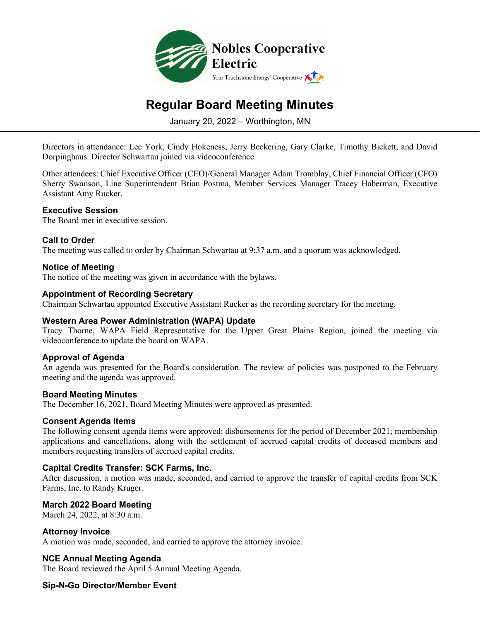

# **Regular Board Meeting Minutes**

January 20, 2022 – Worthington, MN

Directors in attendance: Lee York, Cindy Hokeness, Jerry Beckering, Gary Clarke, Timothy Bickett, and David Dorpinghaus. Director Schwartau joined via videoconference.

Other attendees: Chief Executive Officer (CEO)/General Manager Adam Tromblay, Chief Financial Officer (CFO) Sherry Swanson, Line Superintendent Brian Postma, Member Services Manager Tracey Haberman, Executive Assistant Amy Rucker.

## **Executive Session**

The Board met in executive session.

## **Call to Order**

The meeting was called to order by Chairman Schwartau at 9:37 a.m. and a quorum was acknowledged.

## **Notice of Meeting**

The notice of the meeting was given in accordance with the bylaws.

#### **Appointment of Recording Secretary**

Chairman Schwartau appointed Executive Assistant Rucker as the recording secretary for the meeting.

#### **Western Area Power Administration (WAPA) Update**

Tracy Thorne, WAPA Field Representative for the Upper Great Plains Region, joined the meeting via videoconference to update the board on WAPA.

# **Approval of Agenda**

An agenda was presented for the Board's consideration. The review of policies was postponed to the February meeting and the agenda was approved.

#### **Board Meeting Minutes**

The December 16, 2021, Board Meeting Minutes were approved as presented.

#### **Consent Agenda Items**

The following consent agenda items were approved: disbursements for the period of December 2021; membership applications and cancellations, along with the settlement of accrued capital credits of deceased members and members requesting transfers of accrued capital credits.

#### **Capital Credits Transfer: SCK Farms, Inc.**

After discussion, a motion was made, seconded, and carried to approve the transfer of capital credits from SCK Farms, Inc. to Randy Kruger.

#### **March 2022 Board Meeting**

March 24, 2022, at 8:30 a.m.

#### **Attorney Invoice**

A motion was made, seconded, and carried to approve the attorney invoice.

#### **NCE Annual Meeting Agenda**

The Board reviewed the April 5 Annual Meeting Agenda.

# **Sip-N-Go Director/Member Event**